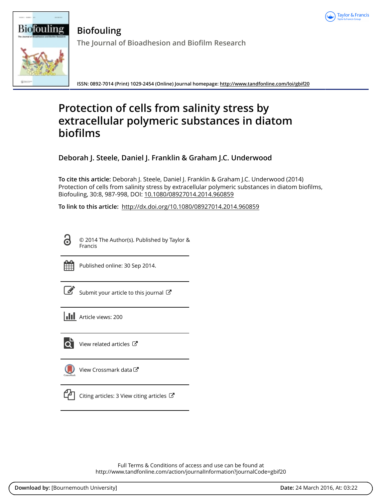



**Biofouling The Journal of Bioadhesion and Biofilm Research**

**ISSN: 0892-7014 (Print) 1029-2454 (Online) Journal homepage:<http://www.tandfonline.com/loi/gbif20>**

# **Protection of cells from salinity stress by extracellular polymeric substances in diatom biofilms**

**Deborah J. Steele, Daniel J. Franklin & Graham J.C. Underwood**

**To cite this article:** Deborah J. Steele, Daniel J. Franklin & Graham J.C. Underwood (2014) Protection of cells from salinity stress by extracellular polymeric substances in diatom biofilms, Biofouling, 30:8, 987-998, DOI: [10.1080/08927014.2014.960859](http://www.tandfonline.com/action/showCitFormats?doi=10.1080/08927014.2014.960859)

**To link to this article:** <http://dx.doi.org/10.1080/08927014.2014.960859>

6

© 2014 The Author(s). Published by Taylor & Francis



Published online: 30 Sep 2014.

[Submit your article to this journal](http://www.tandfonline.com/action/authorSubmission?journalCode=gbif20&page=instructions)  $\mathbb{Z}$ 

**III** Article views: 200



 $\overline{Q}$  [View related articles](http://www.tandfonline.com/doi/mlt/10.1080/08927014.2014.960859)  $\overline{C}$ 

[View Crossmark data](http://crossmark.crossref.org/dialog/?doi=10.1080/08927014.2014.960859&domain=pdf&date_stamp=2014-09-30)



 $\Box$  [Citing articles: 3 View citing articles](http://www.tandfonline.com/doi/citedby/10.1080/08927014.2014.960859#tabModule)  $\Box$ 

Full Terms & Conditions of access and use can be found at <http://www.tandfonline.com/action/journalInformation?journalCode=gbif20>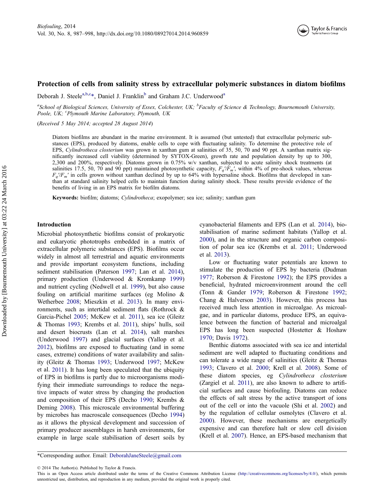# Protection of cells from salinity stress by extracellular polymeric substances in diatom biofilms

Deborah J. Steele<sup>a,b,c</sup>\*, Daniel J. Franklin<sup>b</sup> and Graham J.C. Underwood<sup>a</sup>

<sup>a</sup>School of Biological Sciences, University of Essex, Colchester, UK; <sup>b</sup>Faculty of Science & Technology, Bournemouth University, Poole, UK; <sup>c</sup>Plymouth Marine Laboratory, Plymouth, UK

(Received 5 May 2014; accepted 28 August 2014)

Diatom biofilms are abundant in the marine environment. It is assumed (but untested) that extracellular polymeric substances (EPS), produced by diatoms, enable cells to cope with fluctuating salinity. To determine the protective role of EPS, Cylindrotheca closterium was grown in xanthan gum at salinities of 35, 50, 70 and 90 ppt. A xanthan matrix significantly increased cell viability (determined by SYTOX-Green), growth rate and population density by up to 300, 2,300 and 200%, respectively. Diatoms grown in 0.75% w/v xanthan, subjected to acute salinity shock treatments (at salinities 17.5, 50, 70 and 90 ppt) maintained photosynthetic capacity,  $F_q/F_m'$ , within 4% of pre-shock values, whereas  $F_a/F_m'$  in cells grown without xanthan declined by up to 64% with hypersaline shock. Biofilms that developed in xanthan at standard salinity helped cells to maintain function during salinity shock. These results provide evidence of the benefits of living in an EPS matrix for biofilm diatoms.

Keywords: biofilm; diatoms; Cylindrotheca; exopolymer; sea ice; salinity; xanthan gum

## Introduction

Microbial photosynthetic biofilms consist of prokaryotic and eukaryotic phototrophs embedded in a matrix of extracellular polymeric substances (EPS). Biofilms occur widely in almost all terrestrial and aquatic environments and provide important ecosystem functions, including sediment stabilisation (Paterson [1997](#page-12-0); Lan et al. [2014](#page-11-0)), primary production (Underwood & Kromkamp [1999\)](#page-12-0) and nutrient cycling (Nedwell et al. [1999](#page-11-0)), but also cause fouling on artificial maritime surfaces (eg Molino & Wetherbee [2008;](#page-11-0) Mieszkin et al. [2013](#page-11-0)). In many environments, such as intertidal sediment flats (Rothrock & Garcia-Pichel [2005;](#page-12-0) McKew et al. [2011](#page-11-0)), sea ice (Gleitz & Thomas [1993;](#page-11-0) Krembs et al. [2011](#page-11-0)), ships' hulls, soil and desert biocrusts (Lan et al. [2014](#page-11-0)), salt marshes (Underwood [1997\)](#page-12-0) and glacial surfaces (Yallop et al. [2012\)](#page-12-0), biofilms are exposed to fluctuating (and in some cases, extreme) conditions of water availability and salinity (Gleitz & Thomas [1993](#page-11-0); Underwood [1997;](#page-12-0) McKew et al. [2011](#page-11-0)). It has long been speculated that the ubiquity of EPS in biofilms is partly due to microorganisms modifying their immediate surroundings to reduce the negative impacts of water stress by changing the production and composition of their EPS (Decho [1990](#page-11-0); Krembs & Deming [2008](#page-11-0)). This microscale environmental buffering by microbes has macroscale consequences (Decho [1994\)](#page-11-0) as it allows the physical development and succession of primary producer assemblages in harsh environments, for example in large scale stabilisation of desert soils by cyanobacterial filaments and EPS (Lan et al. [2014\)](#page-11-0), biostabilisation of marine sediment habitats (Yallop et al. [2000\)](#page-12-0), and in the structure and organic carbon composition of polar sea ice (Krembs et al. [2011;](#page-11-0) Underwood et al. [2013](#page-12-0)).

Low or fluctuating water potentials are known to stimulate the production of EPS by bacteria (Dudman [1977;](#page-11-0) Roberson & Firestone [1992](#page-12-0)); the EPS provides a beneficial, hydrated microenvironment around the cell (Tonn & Gander [1979;](#page-12-0) Roberson & Firestone [1992](#page-12-0); Chang & Halverson [2003](#page-11-0)). However, this process has received much less attention in microalgae. As microalgae, and in particular diatoms, produce EPS, an equivalence between the function of bacterial and microalgal EPS has long been suspected (Hostetter & Hoshaw [1970;](#page-11-0) Davis [1972](#page-11-0)).

Benthic diatoms associated with sea ice and intertidal sediment are well adapted to fluctuating conditions and can tolerate a wide range of salinities (Gleitz & Thomas [1993;](#page-11-0) Clavero et al. [2000](#page-11-0); Krell et al. [2008](#page-11-0)). Some of these diatom species, eg Cylindrotheca closterium (Zargiel et al. [2011](#page-12-0)), are also known to adhere to artificial surfaces and cause biofouling. Diatoms can reduce the effects of salt stress by the active transport of ions out of the cell or into the vacuole (Shi et al. [2002](#page-12-0)) and by the regulation of cellular osmolytes (Clavero et al. [2000\)](#page-11-0). However, these mechanisms are energetically expensive and can therefore halt or slow cell division (Krell et al. [2007](#page-11-0)). Hence, an EPS-based mechanism that

© 2014 The Author(s). Published by Taylor & Francis.

<sup>\*</sup>Corresponding author. Email: [DeborahJaneSteele@gmail.com](mailto:DeborahJaneSteele@gmail.com)

This is an Open Access article distributed under the terms of the Creative Commons Attribution License ([http://creativecommons.org/licenses/by/4.0/\)](http://creativecommons.org/licenses/by/4.0/), which permits unrestricted use, distribution, and reproduction in any medium, provided the original work is properly cited.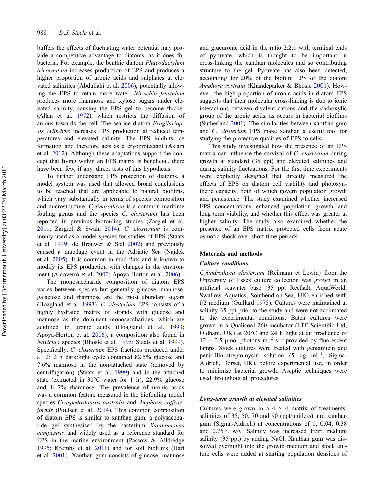buffers the effects of fluctuating water potential may provide a competitive advantage to diatoms, as it does for bacteria. For example, the benthic diatom Phaeodactylum tricornutum increases production of EPS and produces a higher proportion of uronic acids and sulphates at elevated salinities (Abdullahi et al. [2006](#page-10-0)), potentially allowing the EPS to retain more water. Nitzschia frustulum produces more rhamnose and xylose sugars under elevated salinity, causing the EPS gel to become thicker (Allan et al. [1972](#page-10-0)), which restricts the diffusion of anions towards the cell. The sea-ice diatom Fragilariopsis cylindrus increases EPS production at reduced temperatures and elevated salinity. The EPS inhibits ice formation and therefore acts as a cryoprotectant (Aslam et al. [2012\)](#page-10-0). Although these adaptations support the concept that living within an EPS matrix is beneficial, there have been few, if any, direct tests of this hypothesis.

To further understand EPS protection of diatoms, a model system was used that allowed broad conclusions to be reached that are applicable to natural biofilms, which vary substantially in terms of species composition and microstructure. Cylindrotheca is a common maritime fouling genus and the species C. closterium has been reported in previous biofouling studies (Zargiel et al. [2011;](#page-12-0) Zargiel & Swain [2014](#page-12-0)). C. closterium is commonly used as a model species for studies of EPS (Staats et al. [1999](#page-12-0); de Brouwer & Stal [2002](#page-11-0)) and previously caused a mucilage event in the Adriatic Sea (Najdek et al. [2005](#page-11-0)). It is common in mud flats and is known to modify its EPS production with changes in the environment (Alcoverro et al. [2000;](#page-10-0) Apoya-Horton et al. [2006](#page-10-0)).

The monosaccharide composition of diatom EPS varies between species but generally glucose, mannose, galactose and rhamnose are the most abundant sugars (Hoagland et al. [1993\)](#page-11-0). C. closterium EPS consists of a highly hydrated matrix of strands with glucose and mannose as the dominant monosaccharides, which are acidified to uronic acids (Hoagland et al. [1993](#page-11-0); Apoya-Horton et al. [2006\)](#page-10-0), a composition also found in Navicula species (Bhosle et al. [1995;](#page-11-0) Staats et al. [1999](#page-12-0)). Specifically, C. closterium EPS fractions produced under a 12:12 h dark:light cycle contained 82.5% glucose and 7.6% mannose in the non-attached state (removed by centrifugation) (Staats et al. [1999](#page-12-0)) and in the attached state (extracted in 30°C water for 1 h), 22.9% glucose and 14.7% rhamnose. The prevalence of uronic acids was a common feature measured in the biofouling model species Craspedostauros australis and Amphora coffeaeformis (Poulsen et al. [2014](#page-12-0)). This common composition of diatom EPS is similar to xanthan gum, a polysaccharide gel synthesised by the bacterium Xanthomonas campestris and widely used as a reference standard for EPS in the marine environment (Passow & Alldredge [1995;](#page-12-0) Krembs et al. [2011\)](#page-11-0) and for soil biofilms (Hart et al. [2001\)](#page-11-0). Xanthan gum consists of glucose, mannose

and glucuronic acid in the ratio 2:2:1 with terminal ends of pyruvate, which is thought to be important in cross-linking the xanthan molecules and so contributing structure to the gel. Pyruvate has also been detected, accounting for 20% of the biofilm EPS of the diatom Amphora rostrata (Khandeparker & Bhosle [2001](#page-11-0)). However, the high proportion of uronic acids in diatom EPS suggests that their molecular cross-linking is due to ionic interactions between divalent cations and the carboxylic group of the uronic acids, as occurs in bacterial biofilms (Sutherland [2001](#page-12-0)). The similarities between xanthan gum and C. closterium EPS make xanthan a useful tool for studying the protective qualities of EPS to cells.

This study investigated how the presence of an EPS matrix can influence the survival of C. closterium during growth at standard (35 ppt) and elevated salinities and during salinity fluctuations. For the first time experiments were explicitly designed that directly measured the effects of EPS on diatom cell viability and photosynthetic capacity, both of which govern population growth and persistence. The study examined whether increased EPS concentrations enhanced population growth and long term viability, and whether this effect was greater at higher salinity. The study also examined whether the presence of an EPS matrix protected cells from acute osmotic shock over short time periods.

### Materials and methods

## Culture conditions

Cylindrotheca closterium (Reimann et Lewin) from the University of Essex culture collection was grown in an artificial seawater base (35 ppt Reefsalt, AquaWorld, Swallow Aquatics, Southend-on-Sea, UK) enriched with f/2 medium (Guillard [1975\)](#page-11-0). Cultures were maintained at salinity 35 ppt prior to the study and were not acclimated to the experimental conditions. Batch cultures were grown in a Qualicool 260 incubator (LTE Scientific Ltd, Oldham, UK) at 20°C and 24 h light at an irradiance of  $12 \pm 0.5$  µmol photons m<sup>-2</sup> s<sup>-1</sup> provided by fluorescent lamps. Stock cultures were treated with gentamicin and penicillin–streptomycin solution (5 μg ml<sup>-1</sup>, Sigma-Aldrich, Dorset, UK), before experimental use, in order to minimise bacterial growth. Aseptic techniques were used throughout all procedures.

## Long-term growth at elevated salinities

Cultures were grown in a  $4 \times 4$  matrix of treatments: salinities of 35, 50, 70 and 90 (ppt/unitless) and xanthan gum (Sigma-Aldrich) at concentrations of 0, 0.04, 0.38 and 0.75% w/v. Salinity was increased from medium salinity (35 ppt) by adding NaCl. Xanthan gum was dissolved overnight into the growth medium and stock culture cells were added at starting population densities of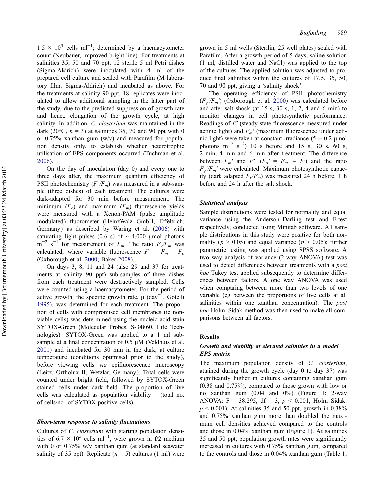$1.5 \times 10^5$  cells ml<sup>-1</sup>; determined by a haemacytometer count (Neubauer, improved bright-line). For treatments at salinities 35, 50 and 70 ppt, 12 sterile 5 ml Petri dishes (Sigma-Aldrich) were inoculated with 4 ml of the prepared cell culture and sealed with Parafilm (M laboratory film, Sigma-Aldrich) and incubated as above. For the treatments at salinity 90 ppt, 18 replicates were inoculated to allow additional sampling in the latter part of the study, due to the predicted suppression of growth rate and hence elongation of the growth cycle, at high salinity. In addition, C. closterium was maintained in the dark (20 $^{\circ}$ C,  $n = 3$ ) at salinities 35, 70 and 90 ppt with 0 or  $0.75\%$  xanthan gum (w/v) and measured for population density only, to establish whether heterotrophic utilisation of EPS components occurred (Tuchman et al. [2006\)](#page-12-0).

On the day of inoculation (day 0) and every one to three days after, the maximum quantum efficiency of PSII photochemistry  $(F_v/F_m)$  was measured in a sub-sample (three dishes) of each treatment. The cultures were dark-adapted for 30 min before measurement. The minimum  $(F<sub>o</sub>)$  and maximum  $(F<sub>m</sub>)$  fluorescence yields were measured with a Xenon-PAM (pulse amplitude modulated) fluorometer (HeinzWalz GmbH, Effeltrich, Germany) as described by Waring et al. [\(2006](#page-12-0)) with saturating light pulses (0.6 s) of  $\sim$  4,000 µmol photons  $m^{-2}$  s<sup>-1</sup> for measurement of  $F_m$ . The ratio  $F\sqrt{F_m}$  was calculated, where variable fluorescence  $F_v = F_m - F_o$ (Oxborough et al. [2000](#page-12-0); Baker [2008\)](#page-11-0).

On days 3, 8, 11 and 24 (also 29 and 37 for treatments at salinity 90 ppt) sub-samples of three dishes from each treatment were destructively sampled. Cells were counted using a haemacytometer. For the period of active growth, the specific growth rate,  $\mu$  (day<sup>-1</sup>, Gotelli [1995\)](#page-11-0), was determined for each treatment. The proportion of cells with compromised cell membranes (ie nonviable cells) was determined using the nucleic acid stain SYTOX-Green (Molecular Probes, S-34860, Life Technologies). SYTOX-Green was applied to a 1 ml subsample at a final concentration of 0.5 μM (Veldhuis et al. [2001\)](#page-12-0) and incubated for 30 min in the dark, at culture temperature (conditions optimised prior to the study), before viewing cells via epifluorescence microscopy (Leitz, Ortholux II, Wetzlar, Germany). Total cells were counted under bright field, followed by SYTOX-Green stained cells under dark field. The proportion of live cells was calculated as population viability  $=$  (total no. of cells/no. of SYTOX-positive cells).

#### Short-term response to salinity fluctuations

Cultures of C. closterium with starting population densities of  $6.7 \times 10^5$  cells ml<sup>-1</sup>, were grown in f/2 medium with 0 or 0.75% w/v xanthan gum (at standard seawater salinity of 35 ppt). Replicate  $(n = 5)$  cultures (1 ml) were

grown in 5 ml wells (Sterilin, 25 well plates) sealed with Parafilm. After a growth period of 5 days, saline solution (1 ml, distilled water and NaCl) was applied to the top of the cultures. The applied solution was adjusted to produce final salinities within the cultures of 17.5, 35, 50, 70 and 90 ppt, giving a 'salinity shock'.

The operating efficiency of PSII photochemistry  $(F_a/F_m)$  (Oxborough et al. [2000\)](#page-12-0) was calculated before and after salt shock (at  $15 \text{ s}$ ,  $30 \text{ s}$ ,  $1$ ,  $2$ ,  $4$  and  $6 \text{ min}$ ) to monitor changes in cell photosynthetic performance. Readings of F′ (steady state fluorescence measured under actinic light) and  $F_m'$  (maximum fluorescence under actinic light) were taken at constant irradiance  $(5 \pm 0.2 \text{ \mu m})$ photons  $m^{-2}$  s<sup>-2</sup>) 10 s before and 15 s, 30 s, 60 s, 2 min, 4 min and 6 min after treatment. The difference between  $F_m'$  and  $F'$ ,  $(F_q' = F_m' - F')$  and the ratio  $F_a/F_m'$  were calculated. Maximum photosynthetic capacity (dark adapted  $F_v/F_m$ ) was measured 24 h before, 1 h before and 24 h after the salt shock.

#### Statistical analysis

Sample distributions were tested for normality and equal variance using the Anderson–Darling test and F-test respectively, conducted using Minitab software. All sample distributions in this study were positive for both normality ( $p > 0.05$ ) and equal variance ( $p > 0.05$ ); further parametric testing was applied using SPSS software. A two way analysis of variance (2-way ANOVA) test was used to detect differences between treatments with a *post* hoc Tukey test applied subsequently to determine differences between factors. A one way ANOVA was used when comparing between more than two levels of one variable (eg between the proportions of live cells at all salinities within one xanthan concentration). The *post* hoc Holm–Sidak method was then used to make all comparisons between all factors.

#### Results

## Growth and viability at elevated salinities in a model EPS matrix

The maximum population density of C. closterium, attained during the growth cycle (day 0 to day 37) was significantly higher in cultures containing xanthan gum (0.38 and 0.75%), compared to those grown with low or no xanthan gum (0.04 and 0%) (Figure [1](#page-4-0); 2-way ANOVA: F = 38.295, df = 3,  $p < 0.001$ , Holm–Sidak:  $p \le 0.001$ ). At salinities 35 and 50 ppt, growth in 0.38% and 0.75% xanthan gum more than doubled the maximum cell densities achieved compared to the controls and those in 0.04% xanthan gum (Figure [1\)](#page-4-0). At salinities 35 and 50 ppt, population growth rates were significantly increased in cultures with 0.75% xanthan gum, compared to the controls and those in 0.04% xanthan gum (Table [1](#page-5-0);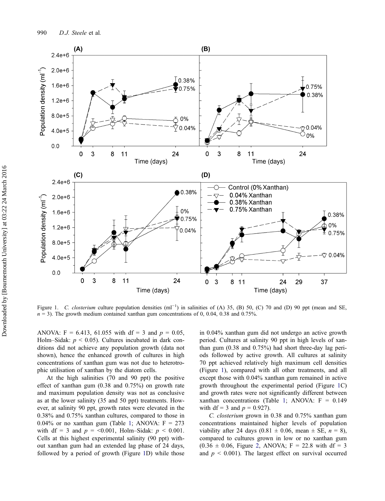<span id="page-4-0"></span>

Figure 1. C. closterium culture population densities  $(m^{-1})$  in salinities of (A) 35, (B) 50, (C) 70 and (D) 90 ppt (mean and SE,  $n = 3$ ). The growth medium contained xanthan gum concentrations of 0, 0.04, 0.38 and 0.75%.

ANOVA:  $F = 6.413$ , 61.055 with df = 3 and  $p = 0.05$ , Holm–Sidak:  $p < 0.05$ ). Cultures incubated in dark conditions did not achieve any population growth (data not shown), hence the enhanced growth of cultures in high concentrations of xanthan gum was not due to heterotrophic utilisation of xanthan by the diatom cells.

At the high salinities (70 and 90 ppt) the positive effect of xanthan gum (0.38 and 0.75%) on growth rate and maximum population density was not as conclusive as at the lower salinity (35 and 50 ppt) treatments. However, at salinity 90 ppt, growth rates were elevated in the 0.38% and 0.75% xanthan cultures, compared to those in 0.04% or no xanthan gum (Table [1](#page-5-0); ANOVA:  $F = 273$ with df = 3 and  $p = 0.001$ , Holm–Sidak:  $p \le 0.001$ . Cells at this highest experimental salinity (90 ppt) without xanthan gum had an extended lag phase of 24 days, followed by a period of growth (Figure 1D) while those

in 0.04% xanthan gum did not undergo an active growth period. Cultures at salinity 90 ppt in high levels of xanthan gum (0.38 and 0.75%) had short three-day lag periods followed by active growth. All cultures at salinity 70 ppt achieved relatively high maximum cell densities (Figure 1), compared with all other treatments, and all except those with 0.04% xanthan gum remained in active growth throughout the experimental period (Figure 1C) and growth rates were not significantly different between xanthan concentrations (Table [1](#page-5-0); ANOVA:  $F = 0.149$ with df = 3 and  $p = 0.927$ ).

C. closterium grown in 0.38 and 0.75% xanthan gum concentrations maintained higher levels of population viability after 24 days (0.81  $\pm$  0.06, mean  $\pm$  SE,  $n = 8$ ), compared to cultures grown in low or no xanthan gum  $(0.36 \pm 0.06,$  Figure [2](#page-6-0), ANOVA; F = 22.8 with df = 3 and  $p < 0.001$ ). The largest effect on survival occurred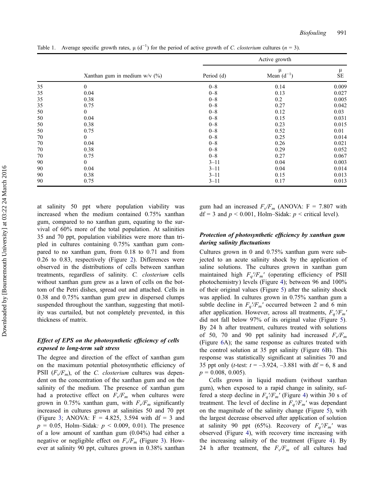|    | Xanthan gum in medium $w/v$ (%) | Active growth |                      |         |
|----|---------------------------------|---------------|----------------------|---------|
|    |                                 | Period (d)    | μ<br>Mean $(d^{-1})$ | μ<br>SE |
| 35 | $\Omega$                        | $0 - 8$       | 0.14                 | 0.009   |
| 35 | 0.04                            | $0 - 8$       | 0.13                 | 0.027   |
| 35 | 0.38                            | $0 - 8$       | 0.2                  | 0.005   |
| 35 | 0.75                            | $0 - 8$       | 0.27                 | 0.042   |
| 50 | $\theta$                        | $0 - 8$       | 0.12                 | 0.03    |
| 50 | 0.04                            | $0 - 8$       | 0.15                 | 0.031   |
| 50 | 0.38                            | $0 - 8$       | 0.23                 | 0.015   |
| 50 | 0.75                            | $0 - 8$       | 0.52                 | 0.01    |
| 70 | $\theta$                        | $0 - 8$       | 0.25                 | 0.014   |
| 70 | 0.04                            | $0 - 8$       | 0.26                 | 0.021   |
| 70 | 0.38                            | $0 - 8$       | 0.29                 | 0.052   |
| 70 | 0.75                            | $0 - 8$       | 0.27                 | 0.067   |
| 90 | $\theta$                        | $3 - 11$      | 0.04                 | 0.003   |
| 90 | 0.04                            | $3 - 11$      | 0.04                 | 0.014   |
| 90 | 0.38                            | $3 - 11$      | 0.15                 | 0.013   |
| 90 | 0.75                            | $3 - 11$      | 0.17                 | 0.013   |

<span id="page-5-0"></span>Table 1. Average specific growth rates,  $\mu$  (d<sup>-1</sup>) for the period of active growth of *C. closterium* cultures (n = 3).

at salinity 50 ppt where population viability was increased when the medium contained 0.75% xanthan gum, compared to no xanthan gum, equating to the survival of 60% more of the total population. At salinities 35 and 70 ppt, population viabilities were more than tripled in cultures containing 0.75% xanthan gum compared to no xanthan gum, from 0.18 to 0.71 and from 0.26 to 0.83, respectively (Figure [2](#page-6-0)). Differences were observed in the distributions of cells between xanthan treatments, regardless of salinity. C. closterium cells without xanthan gum grew as a lawn of cells on the bottom of the Petri dishes, spread out and attached. Cells in 0.38 and 0.75% xanthan gum grew in dispersed clumps suspended throughout the xanthan, suggesting that motility was curtailed, but not completely prevented, in this thickness of matrix.

# Effect of EPS on the photosynthetic efficiency of cells exposed to long-term salt stress

The degree and direction of the effect of xanthan gum on the maximum potential photosynthetic efficiency of PSII  $(F_v/F_m)$ , of the C. closterium cultures was dependent on the concentration of the xanthan gum and on the salinity of the medium. The presence of xanthan gum had a protective effect on  $F_v/F_m$  when cultures were grown in 0.75% xanthan gum, with  $F_v/F_m$  significantly increased in cultures grown at salinities 50 and 70 ppt (Figure [3;](#page-7-0) ANOVA:  $F = 4.825$ , 3.594 with df = 3 and  $p = 0.05$ , Holm–Sidak:  $p \le 0.009$ , 0.01). The presence of a low amount of xanthan gum (0.04%) had either a negative or negligible effect on  $F_v/F_m$  (Figure [3\)](#page-7-0). However at salinity 90 ppt, cultures grown in 0.38% xanthan gum had an increased  $F_v/F_m$  (ANOVA: F = 7.807 with  $df = 3$  and  $p < 0.001$ , Holm–Sidak:  $p <$  critical level).

# Protection of photosynthetic efficiency by xanthan gum during salinity fluctuations

Cultures grown in 0 and 0.75% xanthan gum were subjected to an acute salinity shock by the application of saline solutions. The cultures grown in xanthan gum maintained high  $F_a/F_m'$  (operating efficiency of PSII photochemistry) levels (Figure [4\)](#page-8-0); between 96 and 100% of their original values (Figure [5\)](#page-9-0) after the salinity shock was applied. In cultures grown in 0.75% xanthan gum a subtle decline in  $F_q/F_m'$  occurred between 2 and 6 min after application. However, across all treatments,  $F_q/F_m'$ did not fall below 97% of its original value (Figure [5](#page-9-0)). By 24 h after treatment, cultures treated with solutions of 50, 70 and 90 ppt salinity had increased  $F_v/F_m$ (Figure [6](#page-9-0)A); the same response as cultures treated with the control solution at 35 ppt salinity (Figure [6B](#page-9-0)). This response was statistically significant at salinities 70 and 35 ppt only (*t*-test:  $t = -3.924, -3.881$  with df = 6, 8 and  $p = 0.008, 0.005$ ).

Cells grown in liquid medium (without xanthan gum), when exposed to a rapid change in salinity, suffered a steep decline in  $F_q/F_m'$  (Figure [4](#page-8-0)) within 30 s of treatment. The level of decline in  $F_q/F_m'$  was dependant on the magnitude of the salinity change (Figure [5\)](#page-9-0), with the largest decrease observed after application of solution at salinity 90 ppt (65%). Recovery of  $F_q/F_m'$  was observed (Figure [4](#page-8-0)), with recovery time increasing with the increasing salinity of the treatment (Figure [4](#page-8-0)). By 24 h after treatment, the  $F_v/F_m$  of all cultures had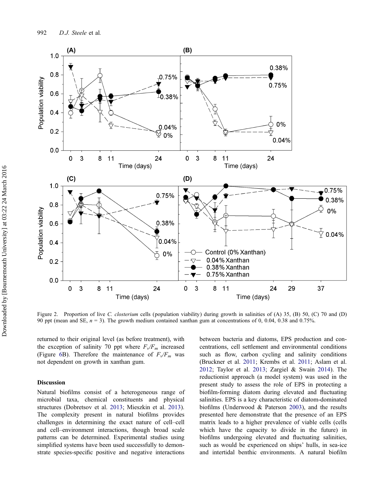<span id="page-6-0"></span>

Figure 2. Proportion of live C. *closterium* cells (population viability) during growth in salinities of (A) 35, (B) 50, (C) 70 and (D) 90 ppt (mean and SE,  $n = 3$ ). The growth medium contained xanthan gum at concentrations of 0, 0.04, 0.38 and 0.75%.

returned to their original level (as before treatment), with the exception of salinity 70 ppt where  $F_v/F_m$  increased (Figure [6B](#page-9-0)). Therefore the maintenance of  $F\sqrt{F_m}$  was not dependent on growth in xanthan gum.

## Discussion

Natural biofilms consist of a heterogeneous range of microbial taxa, chemical constituents and physical structures (Dobretsov et al. [2013](#page-11-0); Mieszkin et al. [2013](#page-11-0)). The complexity present in natural biofilms provides challenges in determining the exact nature of cell–cell and cell–environment interactions, though broad scale patterns can be determined. Experimental studies using simplified systems have been used successfully to demonstrate species-specific positive and negative interactions

between bacteria and diatoms, EPS production and concentrations, cell settlement and environmental conditions such as flow, carbon cycling and salinity conditions (Bruckner et al. [2011;](#page-11-0) Krembs et al. [2011;](#page-11-0) Aslam et al. [2012;](#page-10-0) Taylor et al. [2013](#page-12-0); Zargiel & Swain [2014](#page-12-0)). The reductionist approach (a model system) was used in the present study to assess the role of EPS in protecting a biofilm-forming diatom during elevated and fluctuating salinities. EPS is a key characteristic of diatom-dominated biofilms (Underwood & Paterson [2003\)](#page-12-0), and the results presented here demonstrate that the presence of an EPS matrix leads to a higher prevalence of viable cells (cells which have the capacity to divide in the future) in biofilms undergoing elevated and fluctuating salinities, such as would be experienced on ships' hulls, in sea-ice and intertidal benthic environments. A natural biofilm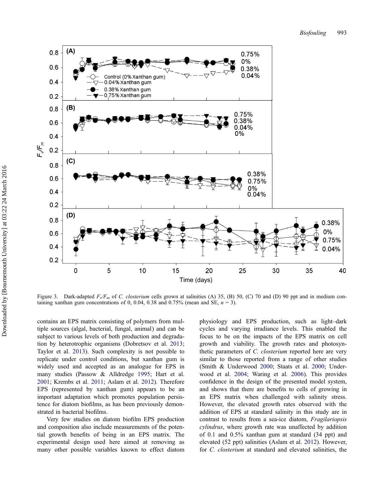<span id="page-7-0"></span>

Figure 3. Dark-adapted  $F\sqrt{F_m}$  of C. closterium cells grown at salinities (A) 35, (B) 50, (C) 70 and (D) 90 ppt and in medium containing xanthan gum concentrations of 0, 0.04, 0.38 and 0.75% (mean and SE,  $n = 3$ ).

contains an EPS matrix consisting of polymers from multiple sources (algal, bacterial, fungal, animal) and can be subject to various levels of both production and degradation by heterotrophic organisms (Dobretsov et al. [2013](#page-11-0); Taylor et al. [2013](#page-12-0)). Such complexity is not possible to replicate under control conditions, but xanthan gum is widely used and accepted as an analogue for EPS in many studies (Passow & Alldredge [1995;](#page-12-0) Hart et al. [2001;](#page-11-0) Krembs et al. [2011](#page-11-0); Aslam et al. [2012\)](#page-10-0). Therefore EPS (represented by xanthan gum) appears to be an important adaptation which promotes population persistence for diatom biofilms, as has been previously demonstrated in bacterial biofilms.

Very few studies on diatom biofilm EPS production and composition also include measurements of the potential growth benefits of being in an EPS matrix. The experimental design used here aimed at removing as many other possible variables known to effect diatom

physiology and EPS production, such as light–dark cycles and varying irradiance levels. This enabled the focus to be on the impacts of the EPS matrix on cell growth and viability. The growth rates and photosynthetic parameters of C. closterium reported here are very similar to those reported from a range of other studies (Smith & Underwood [2000;](#page-12-0) Staats et al. [2000;](#page-12-0) Underwood et al. [2004](#page-12-0); Waring et al. [2006\)](#page-12-0). This provides confidence in the design of the presented model system, and shows that there are benefits to cells of growing in an EPS matrix when challenged with salinity stress. However, the elevated growth rates observed with the addition of EPS at standard salinity in this study are in contrast to results from a sea-ice diatom, Fragilariopsis cylindrus, where growth rate was unaffected by addition of 0.1 and 0.5% xanthan gum at standard (34 ppt) and elevated (52 ppt) salinities (Aslam et al. [2012\)](#page-10-0). However, for C. closterium at standard and elevated salinities, the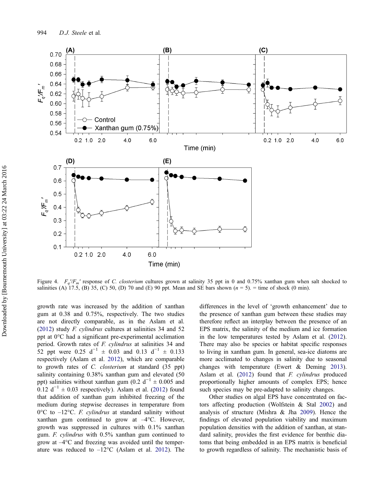<span id="page-8-0"></span>

Figure 4.  $F_a/F_m'$  response of C. closterium cultures grown at salinity 35 ppt in 0 and 0.75% xanthan gum when salt shocked to salinities (A) 17.5, (B) 35, (C) 50, (D) 70 and (E) 90 ppt. Mean and SE bars shown  $(n = 5)$ . = time of shock (0 min).

growth rate was increased by the addition of xanthan gum at 0.38 and 0.75%, respectively. The two studies are not directly comparable, as in the Aslam et al. [\(2012](#page-10-0)) study F. cylindrus cultures at salinities 34 and 52 ppt at 0°C had a significant pre-experimental acclimation period. Growth rates of F. cylindrus at salinities 34 and 52 ppt were 0.25 d<sup>-1</sup> ± 0.03 and 0.13 d<sup>-1</sup> ± 0.133 respectively (Aslam et al. [2012](#page-10-0)), which are comparable to growth rates of C. closterium at standard (35 ppt) salinity containing 0.38% xanthan gum and elevated (50 ppt) salinities without xanthan gum (0.2  $d^{-1} \pm 0.005$  and 0.12  $d^{-1} \pm 0.03$  respectively). Aslam et al. ([2012\)](#page-10-0) found that addition of xanthan gum inhibited freezing of the medium during stepwise decreases in temperature from  $0^{\circ}$ C to  $-12^{\circ}$ C. *F. cylindrus* at standard salinity without xanthan gum continued to grow at  $-4^{\circ}$ C. However, growth was suppressed in cultures with 0.1% xanthan gum. F. cylindrus with 0.5% xanthan gum continued to grow at –4°C and freezing was avoided until the temperature was reduced to  $-12^{\circ}$ C (Aslam et al. [2012\)](#page-10-0). The

differences in the level of 'growth enhancement' due to the presence of xanthan gum between these studies may therefore reflect an interplay between the presence of an EPS matrix, the salinity of the medium and ice formation in the low temperatures tested by Aslam et al. [\(2012](#page-10-0)). There may also be species or habitat specific responses to living in xanthan gum. In general, sea-ice diatoms are more acclimated to changes in salinity due to seasonal changes with temperature (Ewert & Deming [2013](#page-11-0)). Aslam et al. ([2012\)](#page-10-0) found that F. cylindrus produced proportionally higher amounts of complex EPS; hence such species may be pre-adapted to salinity changes.

Other studies on algal EPS have concentrated on factors affecting production (Wolfstein & Stal [2002\)](#page-12-0) and analysis of structure (Mishra & Jha [2009](#page-11-0)). Hence the findings of elevated population viability and maximum population densities with the addition of xanthan, at standard salinity, provides the first evidence for benthic diatoms that being embedded in an EPS matrix is beneficial to growth regardless of salinity. The mechanistic basis of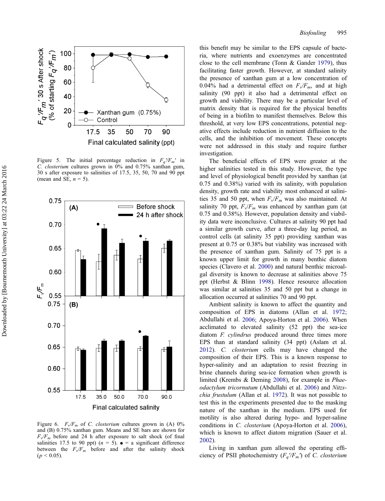<span id="page-9-0"></span>

Figure 5. The initial percentage reduction in  $F_a/F_m'$  in C. closterium cultures grown in 0% and 0.75% xanthan gum, 30 s after exposure to salinities of 17.5, 35, 50, 70 and 90 ppt (mean and SE,  $n = 5$ ).



Figure 6.  $F_v/F_m$  of C. closterium cultures grown in (A) 0% and (B) 0.75% xanthan gum. Means and SE bars are shown for  $F_v/F_m$  before and 24 h after exposure to salt shock (of final salinities 17.5 to 90 ppt) ( $n = 5$ ).  $\bullet =$  a significant difference between the  $F_v/F_m$  before and after the salinity shock  $(p < 0.05)$ .

this benefit may be similar to the EPS capsule of bacteria, where nutrients and exoenzymes are concentrated close to the cell membrane (Tonn & Gander [1979](#page-12-0)), thus facilitating faster growth. However, at standard salinity the presence of xanthan gum at a low concentration of 0.04% had a detrimental effect on  $F_v/F_m$ , and at high salinity (90 ppt) it also had a detrimental effect on growth and viability. There may be a particular level of matrix density that is required for the physical benefits of being in a biofilm to manifest themselves. Below this threshold, at very low EPS concentrations, potential negative effects include reduction in nutrient diffusion to the cells, and the inhibition of movement. These concepts were not addressed in this study and require further investigation.

The beneficial effects of EPS were greater at the higher salinities tested in this study. However, the type and level of physiological benefit provided by xanthan (at 0.75 and 0.38%) varied with its salinity, with population density, growth rate and viability most enhanced at salinities 35 and 50 ppt, when  $F_v/F_m$  was also maintained. At salinity 70 ppt,  $F_v/F_m$  was enhanced by xanthan gum (at 0.75 and 0.38%). However, population density and viability data were inconclusive. Cultures at salinity 90 ppt had a similar growth curve, after a three-day lag period, as control cells (at salinity 35 ppt) providing xanthan was present at 0.75 or 0.38% but viability was increased with the presence of xanthan gum. Salinity of 75 ppt is a known upper limit for growth in many benthic diatom species (Clavero et al. [2000\)](#page-11-0) and natural benthic microalgal diversity is known to decrease at salinities above 75 ppt (Herbst & Blinn [1998\)](#page-11-0). Hence resource allocation was similar at salinities 35 and 50 ppt but a change in allocation occurred at salinities 70 and 90 ppt.

Ambient salinity is known to affect the quantity and composition of EPS in diatoms (Allan et al. [1972](#page-10-0); Abdullahi et al. [2006;](#page-10-0) Apoya-Horton et al. [2006\)](#page-10-0). When acclimated to elevated salinity (52 ppt) the sea-ice diatom F. cylindrus produced around three times more EPS than at standard salinity (34 ppt) (Aslam et al. [2012\)](#page-10-0). C. closterium cells may have changed the composition of their EPS. This is a known response to hyper-salinity and an adaptation to resist freezing in brine channels during sea-ice formation when growth is limited (Krembs & Deming [2008\)](#page-11-0), for example in Phaeodactylum tricornutum (Abdullahi et al. [2006\)](#page-10-0) and Nitzschia frustulum (Allan et al. [1972\)](#page-10-0). It was not possible to test this in the experiments presented due to the masking nature of the xanthan in the medium. EPS used for motility is also altered during hypo- and hyper-saline conditions in C. closterium (Apoya-Horton et al. [2006](#page-10-0)), which is known to affect diatom migration (Sauer et al. [2002\)](#page-12-0).

Living in xanthan gum allowed the operating efficiency of PSII photochemistry  $(F_a/F_m)$  of C. closterium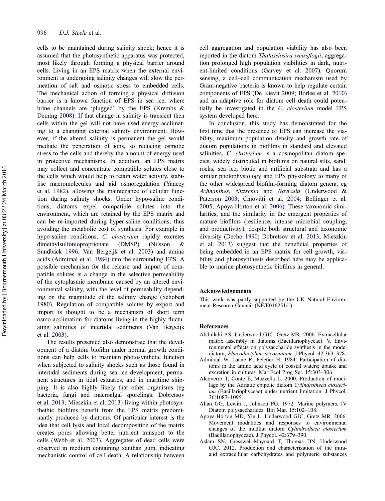<span id="page-10-0"></span>cells to be maintained during salinity shock; hence it is assumed that the photosynthetic apparatus was protected, most likely through forming a physical barrier around cells. Living in an EPS matrix when the external environment is undergoing salinity changes will slow the permeation of salt and osmotic stress to embedded cells. The mechanical action of forming a physical diffusion barrier is a known function of EPS in sea ice, where brine channels are 'plugged' by the EPS (Krembs & Deming [2008](#page-11-0)). If that change in salinity is transient then cells within the gel will not have used energy acclimating to a changing external salinity environment. However, if the altered salinity is permanent the gel would mediate the penetration of ions, so reducing osmotic stress to the cells and thereby the amount of energy used in protective mechanisms. In addition, an EPS matrix may collect and concentrate compatible solutes close to the cells which would help to retain water activity, stabilise macromolecules and aid osmoregulation (Yancey et al. [1982](#page-12-0)), allowing the maintenance of cellular function during salinity shocks. Under hypo-saline conditions, diatoms expel compatible solutes into the environment, which are retained by the EPS matrix and can be re-imported during hyper-saline conditions, thus avoiding the metabolic cost of synthesis. For example in hypo-saline conditions, C. closterium rapidly excretes dimethylsulfonioproprionate (DMSP) (Nilsson & Sundbäck [1996](#page-11-0); Van Bergeijk et al. [2003](#page-12-0)) and amino acids (Admiraal et al. 1984) into the surrounding EPS. A possible mechanism for the release and import of compatible solutes is a change in the selective permeability of the cytoplasmic membrane caused by an altered environmental salinity, with the level of permeability depending on the magnitude of the salinity change (Schobert [1980\)](#page-12-0). Regulation of compatible solutes by export and import is thought to be a mechanism of short term osmo-acclimation for diatoms living in the highly fluctuating salinities of intertidal sediments (Van Bergeijk et al. [2003](#page-12-0)).

The results presented also demonstrate that the development of a diatom biofilm under normal growth conditions can help cells to maintain photosynthetic function when subjected to salinity shocks such as those found in intertidal sediments during sea ice development, permanent structures in tidal estuaries, and in maritime shipping. It is also highly likely that other organisms (eg bacteria, fungi and macroalgal sporelings; Dobretsov et al. [2013](#page-11-0); Mieszkin et al. [2013](#page-11-0)) living within photosynthethic biofilms benefit from the EPS matrix predominantly produced by diatoms. Of particular interest is the idea that cell lysis and local decomposition of the matrix creates pores allowing better nutrient transport to the cells (Webb et al. [2003](#page-12-0)). Aggregates of dead cells were observed in medium containing xanthan gum, indicating mechanistic control of cell death. A relationship between

cell aggregation and population viability has also been reported in the diatom Thalassiosira weissflogii; aggregation prolonged high population viabilities in dark, nutrient-limited conditions (Garvey et al. [2007](#page-11-0)). Quorum sensing, a cell–cell communication mechanism used by Gram-negative bacteria is known to help regulate certain components of EPS (De Kievit [2009](#page-11-0); Borlee et al. [2010\)](#page-11-0) and an adaptive role for diatom cell death could potentially be investigated in the C. closterium model EPS system developed here.

In conclusion, this study has demonstrated for the first time that the presence of EPS can increase the viability, maximum population density and growth rate of diatom populations in biofilms in standard and elevated salinities. C. *closterium* is a cosmopolitan diatom species, widely distributed in biofilms on natural silts, sand, rocks, sea ice, biotic and artificial substrata and has a similar photophysiology and EPS physiology to many of the other widespread biofilm-forming diatom genera, eg Achnanthes, Nitzschia and Navicula (Underwood & Paterson [2003](#page-12-0); Chiovitti et al. [2004;](#page-11-0) Bellinger et al. [2005;](#page-11-0) Apoya-Horton et al. 2006). These taxonomic similarities, and the similarity in the emergent properties of mature biofilms (resilience, intense microbial coupling, and productivity), despite both structural and taxonomic diversity (Decho [1990](#page-11-0); Dobretsov et al. [2013](#page-11-0); Mieszkin et al. [2013](#page-11-0)) suggest that the beneficial properties of being embedded in an EPS matrix for cell growth, viability and photosynthesis described here may be applicable to marine photosynthetic biofilms in general.

## Acknowledgements

This work was partly supported by the UK Natural Environment Research Council (NE/E016251/1).

# References

- Abdullahi AS, Underwood GJC, Gretz MR. 2006. Extracellular matrix assembly in diatoms (Bacillariophyceae). V. Environmental effects on polysaccharide synthesis in the model diatom, Phaeodactylum tricornutum. J Phycol. 42:363–378.
- Admiraal W, Laane R, Peletier H. 1984. Participation of diatoms in the amino acid cycle of coastal waters; uptake and excretion in cultures. Mar Ecol Prog Ser. 15:303–306.
- Alcoverro T, Conte E, Mazzella L. 2000. Production of mucilage by the Adriatic epipelic diatom Cylindrotheca closterium (Bacillariophyceae) under nutrient limitation. J Phycol. 36:1087–1095.
- Allan GG, Lewin J, Johnson PG. 1972. Marine polymers. IV Diatom polysaccharides. Bot Mar. 15:102–108.
- Apoya-Horton MD, Yin L, Underwood GJC, Gretz MR. 2006. Movement modalities and responses to environmental changes of the mudflat diatom Cylindrotheca closterium (Bacillariophyceae). J Phycol. 42:379–390.
- Aslam SN, Cresswell-Maynard T, Thomas DN, Underwood GJC. 2012. Production and characterization of the intraand extracellular carbohydrates and polymeric substances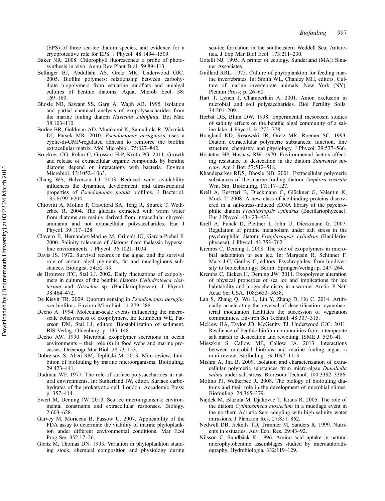<span id="page-11-0"></span>(EPS) of three sea-ice diatom species, and evidence for a cryoprotective role for EPS. J Phycol. 48:1494–1509.

- Baker NR. 2008. Chlorophyll fluorescence: a probe of photosynthesis in vivo. Annu Rev Plant Biol. 59:89–113.
- Bellinger BJ, Abdullahi AS, Gretz MR, Underwood GJC. 2005. Biofilm polymers: relationship between carbohydrate biopolymers from estuarine mudflats and unialgal cultures of benthic diatoms. Aquat Microb Ecol. 38: 169–180.
- Bhosle NB, Sawant SS, Garg A, Wagh AB. 1995. Isolation and partial chemical analysis of exopolysaccharides from the marine fouling diatom Navicula subinflata. Bot Mar. 38:103–110.
- Borlee BR, Goldman AD, Murakami K, Samudrala R, Wozniak DJ, Parsek MR. 2010. Pseudomonas aeruginosa uses a cyclic-di-GMP-regulated adhesin to reinforce the biofilm extracellular matrix. Mol Microbiol. 75:827–842.
- Bruckner CG, Rehm C, Grossart H-P, Kroth PG. 2011. Growth and release of extracellular organic compounds by benthic diatoms depend on interactions with bacteria. Environ Microbiol. 13:1052–1063.
- Chang WS, Halverson LJ. 2003. Reduced water availability influences the dynamics, development, and ultrastructural properties of Pseudomonas putida biofilms. J Bacteriol. 185:6199–6204.
- Chiovitti A, Molino P, Crawford SA, Teng R, Spurck T, Wetherbee R. 2004. The glucans extracted with warm water from diatoms are mainly derived from intracellular chrysolaminaran and not extracellular polysaccharides. Eur J Phycol. 39:117–128.
- Clavero E, Hernandez-Marine M, Grimalt JO, Garcia-Pichel F. 2000. Salinity tolerance of diatoms from thalassic hypersaline environments. J Phycol. 36:1021–1034.
- Davis JS. 1972. Survival records in the algae, and the survival role of certain algal pigments, fat and mucilaginous substances. Biologist. 54:52–93.
- de Brouwer JFC, Stal LJ. 2002. Daily fluctuations of exopolymers in cultures of the benthic diatoms Cylindrotheca closterium and Nitzschia sp. (Bacillariophyceae). J Phycol. 38:464–472.
- De Kievit TR. 2009. Quorum sensing in Pseudomonas aeruginosa biofilms. Environ Microbiol. 11:279–288.
- Decho A. 1994. Molecular-scale events influencing the macroscale cohesiveness of exopolymers. In: Krumbein WE, Paterson DM, Stal LJ, editors. Biostabilization of sediment. BIS Verlag: Oldenburg; p. 135–148.
- Decho AW. 1990. Microbial exopolymer secretions in ocean environments – their role (s) in food webs and marine processes. Oceanogr Mar Biol. 28:73–153.
- Dobretsov S, Abed RM, Teplitski M. 2013. Mini-review: Inhibition of biofouling by marine microorganisms. Biofouling. 29:423–441.
- Dudman WF. 1977. The role of surface polysaccharides in natural environments. In: Sutherland IW, editor. Surface carbohydrates of the prokaryotic cell. London: Accademic Press; p. 357–414.
- Ewert M, Deming JW. 2013. Sea ice microorganisms: environmental constraints and extracellular responses. Biology. 2:603–628.
- Garvey M, Moriceau B, Passow U. 2007. Applicability of the FDA assay to determine the viability of marine phytoplankton under different environmental conditions. Mar Ecol Prog Ser. 352:17–26.
- Gleitz M, Thomas DN. 1993. Variation in phytoplankton standing stock, chemical composition and physiology during

sea-ice formation in the southeastern Weddell Sea, Antarctica. J Exp Mar Biol Ecol. 173:211–230.

- Gotelli NJ. 1995. A primer of ecology. Sunderland (MA): Sinauer Associates.
- Guillard RRL. 1975. Culture of phytoplankton for feeding marine invertebrates. In: Smith WL, Chanley MH, editors. Culture of marine invertebrate animals. New York (NY): Plenum Press; p. 26–60.
- Hart T, Lynch J, Chamberlain A. 2001. Anion exclusion in microbial and soil polysaccharides. Biol Fertility Soils. 34:201–209.
- Herbst DB, Blinn DW. 1998. Experimental mesocosm studies of salinity effects on the benthic algal community of a saline lake. J Phycol. 34:772–778.
- Hoagland KD, Rosowski JR, Gretz MR, Roemer SC. 1993. Diatom extracellular polymeric substances: function, fine structure, chemistry, and physiology. J Phycol. 29:537–566.
- Hostetter HP, Hoshaw RW. 1970. Environmental factors affecting resistance to desiccation in the diatom Stauroneis anceps. Am J Bot. 57:512–518.
- Khandeparker RDS, Bhosle NB. 2001. Extracellular polymeric substances of the marine fouling diatom Amphora rostrata Wm. Sm. Biofouling. 17:117–127.
- Krell A, Beszteri B, Dieckmann G, Glöckner G, Valentin K, Mock T. 2008. A new class of ice-binding proteins discovered in a salt-stress-induced cDNA library of the psychrophilic diatom Fragilariopsis cylindrus (Bacillariophyceae). Eur J Phycol. 43:423–433.
- Krell A, Funck D, Plettner I, John U, Dieckmann G. 2007. Regulation of proline metabolism under salt stress in the psychrophilic diatom Fragilariopsis cylindrus (Bacillariophyceae). J Phycol. 43:753–762.
- Krembs C, Deming J. 2008. The role of exopolymers in microbial adaptation to sea ice. In: Margesin R, Schinner F, Marx J-C, Gerday C, editors. Psychrophiles: from biodiversity to biotechnology. Berlin: Springer-Verlag; p. 247–264.
- Krembs C, Eicken H, Deming JW. 2011. Exopolymer alteration of physical properties of sea ice and implications for ice habitability and biogeochemistry in a warmer Arctic. P Natl Acad Sci USA. 108:3653–3658.
- Lan S, Zhang Q, Wu L, Liu Y, Zhang D, Hu C. 2014. Artificially accelerating the reversal of desertification: cyanobacterial inoculation facilitates the succession of vegetation communities. Environ Sci Technol. 48:307–315.
- McKew BA, Taylor JD, McGenity TJ, Underwood GJC. 2011. Resilience of benthic biofilm communities from a temperate salt marsh to desiccation and rewetting. ISME J. 5:30–41.
- Mieszkin S, Callow ME, Callow JA. 2013. Interactions between microbial biofilms and marine fouling algae: a mini review. Biofouling. 29:1097–1113.
- Mishra A, Jha B. 2009. Isolation and characterization of extracellular polymeric substances from micro-algae Dunaliella salina under salt stress. Bioresour Technol. 100:3382–3386.
- Molino PJ, Wetherbee R. 2008. The biology of biofouling diatoms and their role in the development of microbial slimes. Biofouling. 24:365–379.
- Najdek M, Blazina M, Djakovac T, Kraus R. 2005. The role of the diatom Cylindrotheca closterium in a mucilage event in the northern Adriatic Sea: coupling with high salinity water intrusions. J Plankton Res. 27:851–862.
- Nedwell DB, Jickells TD, Trimmer M, Sanders R. 1999. Nutrients in estuaries. Adv Ecol Res. 29:43–92.
- Nilsson C, Sundbäck K. 1996. Amino acid uptake in natural microphytobenthic assemblages studied by microautoradiography. Hydrobiologia. 332:119–129.